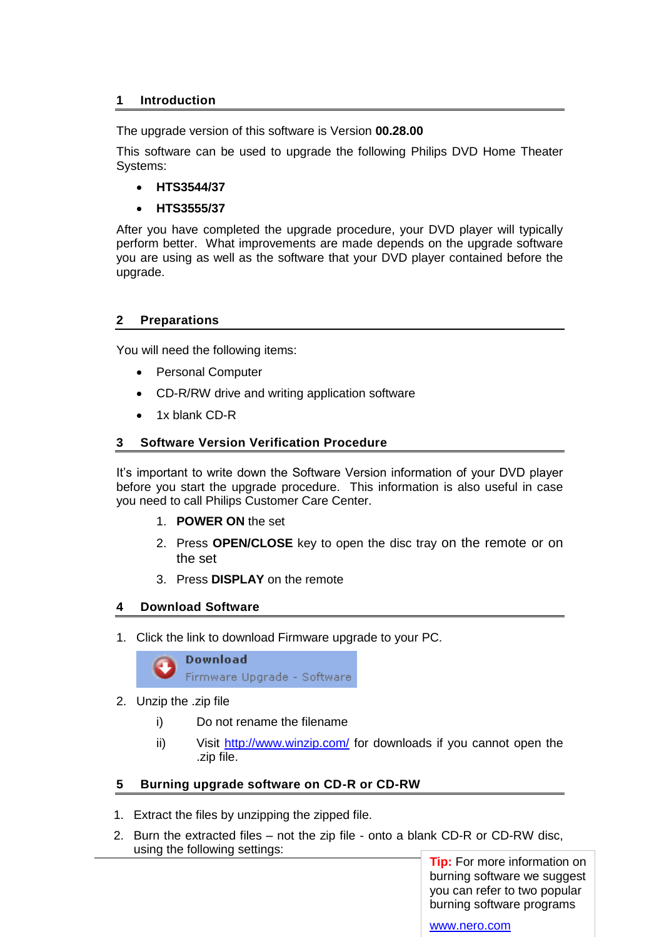## **1 Introduction**

The upgrade version of this software is Version **00.28.00**

This software can be used to upgrade the following Philips DVD Home Theater Systems:

- **HTS3544/37**
- **HTS3555/37**

After you have completed the upgrade procedure, your DVD player will typically perform better. What improvements are made depends on the upgrade software you are using as well as the software that your DVD player contained before the upgrade.

## **2 Preparations**

You will need the following items:

- Personal Computer
- CD-R/RW drive and writing application software
- 1x blank CD-R

## **3 Software Version Verification Procedure**

It's important to write down the Software Version information of your DVD player before you start the upgrade procedure. This information is also useful in case you need to call Philips Customer Care Center.

- 1. **POWER ON** the set
- 2. Press **OPEN/CLOSE** key to open the disc tray on the remote or on the set
- 3. Press **DISPLAY** on the remote

# **4 Download Software**

1. Click the link to download Firmware upgrade to your PC.



- 2. Unzip the .zip file
	- i) Do not rename the filename
	- ii) Visit<http://www.winzip.com/> for downloads if you cannot open the .zip file.

# **5 Burning upgrade software on CD-R or CD-RW**

- 1. Extract the files by unzipping the zipped file.
- 2. Burn the extracted files not the zip file onto a blank CD-R or CD-RW disc, using the following settings:

**Tip:** For more information on burning software we suggest you can refer to two popular burning software programs

[www.nero.com](http://www.nero.com/)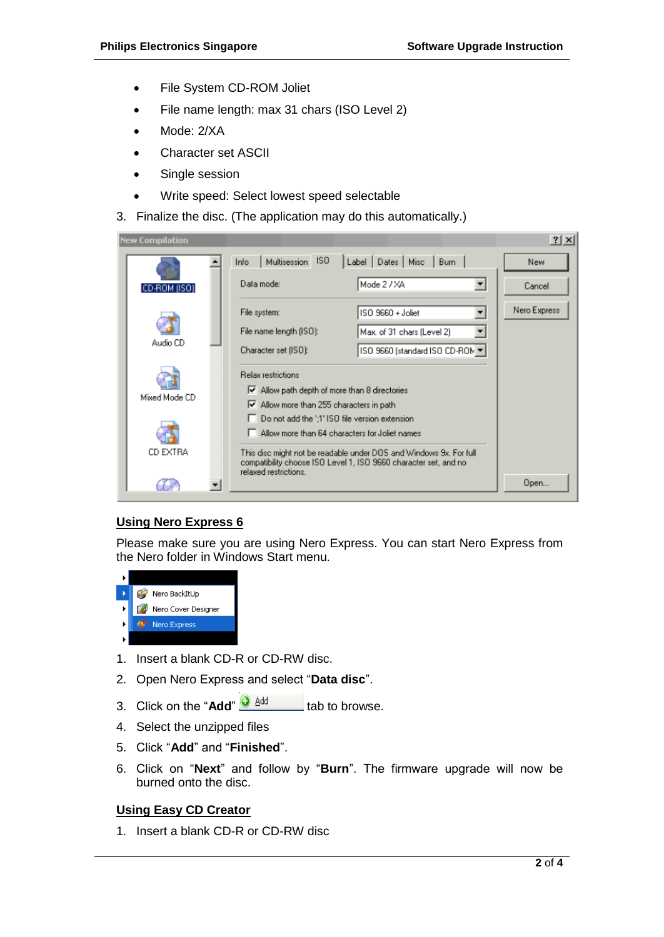- File System CD-ROM Joliet
- File name length: max 31 chars (ISO Level 2)
- Mode: 2/XA
- Character set ASCII
- Single session
- Write speed: Select lowest speed selectable
- 3. Finalize the disc. (The application may do this automatically.)

| <b>New Compilation</b> |                                                                                                                                                                 |                                 | $?$ $\times$ |
|------------------------|-----------------------------------------------------------------------------------------------------------------------------------------------------------------|---------------------------------|--------------|
|                        | ISO.<br>Multisession<br>Info                                                                                                                                    | Dates   Misc<br>Label<br>Burn   | New          |
| CD-ROM (ISO)           | Data mode:                                                                                                                                                      | Mode 2 / XA                     | Cancel       |
|                        | File system:                                                                                                                                                    | ISO 9660 + Joliet               | Nero Express |
|                        | File name length (ISO):                                                                                                                                         | Max. of 31 chars (Level 2)      |              |
| Audio CD               | Character set (ISO):                                                                                                                                            | ISO 9660 (standard ISO CD-ROM ▼ |              |
| Mixed Mode CD          | <b>Belax restrictions</b>                                                                                                                                       |                                 |              |
|                        | $\blacktriangleright$ Allow path depth of more than 8 directories                                                                                               |                                 |              |
|                        | M Allow more than 255 characters in path                                                                                                                        |                                 |              |
|                        | Do not add the ';1' ISO file version extension<br>Allow more than 64 characters for Joliet names                                                                |                                 |              |
|                        |                                                                                                                                                                 |                                 |              |
| CD EXTRA               | This disc might not be readable under DOS and Windows 9x. For full<br>compatibility choose ISO Level 1, ISO 9660 character set, and no<br>relaxed restrictions. |                                 |              |
|                        |                                                                                                                                                                 |                                 | Open         |

# **Using Nero Express 6**

Please make sure you are using Nero Express. You can start Nero Express from the Nero folder in Windows Start menu.



- 1. Insert a blank CD-R or CD-RW disc.
- 2. Open Nero Express and select "**Data disc**".
- 3. Click on the "Add"  $\frac{1}{2}$   $\frac{1}{2}$  dd to browse.
- 4. Select the unzipped files
- 5. Click "**Add**" and "**Finished**".
- 6. Click on "**Next**" and follow by "**Burn**". The firmware upgrade will now be burned onto the disc.

### **Using Easy CD Creator**

1. Insert a blank CD-R or CD-RW disc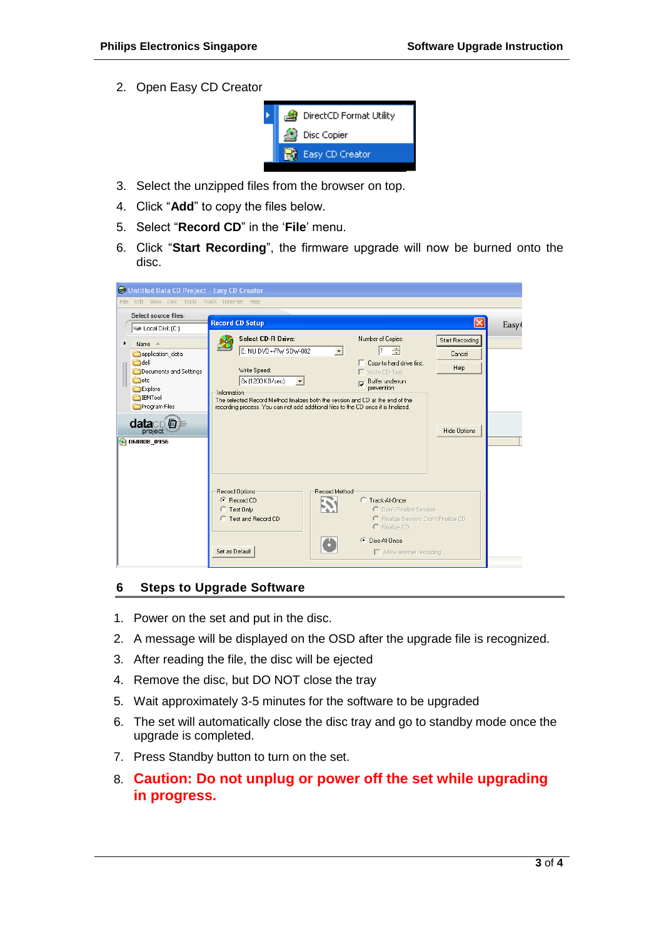2. Open Easy CD Creator



- 3. Select the unzipped files from the browser on top.
- 4. Click "**Add**" to copy the files below.
- 5. Select "**Record CD**" in the "**File**" menu.
- 6. Click "**Start Recording**", the firmware upgrade will now be burned onto the disc.

| <b>BE Untitled Data CD Project - Easy CD Creator</b>                                                                                                                                                                       |                                                                                                                                                                                                                                                                                                                                                                                                                                                           |                   |
|----------------------------------------------------------------------------------------------------------------------------------------------------------------------------------------------------------------------------|-----------------------------------------------------------------------------------------------------------------------------------------------------------------------------------------------------------------------------------------------------------------------------------------------------------------------------------------------------------------------------------------------------------------------------------------------------------|-------------------|
| File Edit View Disc Tools Track Internet Help                                                                                                                                                                              |                                                                                                                                                                                                                                                                                                                                                                                                                                                           |                   |
| Select source files:<br>Local Disk (C:)                                                                                                                                                                                    | <b>Record CD Setup</b><br>×                                                                                                                                                                                                                                                                                                                                                                                                                               | Easy <sup>(</sup> |
| Name $\triangleq$<br>application_data<br>adell <sup>1</sup><br>Documents and Settings<br><b>C</b> etc<br>Explore<br><b>IBMTool</b><br>Program Files<br>datacD <b><i><b></b></i></b><br>project <sup>®</sup><br>060808_0956 | Select CD-R Drive:<br>Number of Copies:<br><b>Start Recording</b><br>E: NU DVD+-RW SDW-082<br>I1<br>÷<br>Cancel<br>Copy to hard drive first.<br>Help<br>Write Speed:<br>Write CD-Text<br>8x (1200 KB/sec)<br>Buffer underrun<br>prevention<br>Information<br>The selected Record Method finalizes both the session and CD at the end of the<br>recording process. You can not add additional files to the CD once it is finalized.<br><b>Hide Options</b> |                   |
|                                                                                                                                                                                                                            | Record Method<br>Record Options<br>C Record CD<br>C Track-At-Once<br>C Don't Finalize Session<br>Test Only<br>C Finalize Session, Don't Finalize CD<br><b>C</b> Test and Record CD<br>C Finalize CD<br>C Disc-At-Once<br>Set as Default<br>Allow another recording                                                                                                                                                                                        |                   |

### **6 Steps to Upgrade Software**

- 1. Power on the set and put in the disc.
- 2. A message will be displayed on the OSD after the upgrade file is recognized.
- 3. After reading the file, the disc will be ejected
- 4. Remove the disc, but DO NOT close the tray
- 5. Wait approximately 3-5 minutes for the software to be upgraded
- 6. The set will automatically close the disc tray and go to standby mode once the upgrade is completed.
- 7. Press Standby button to turn on the set.
- 8. **Caution: Do not unplug or power off the set while upgrading in progress.**